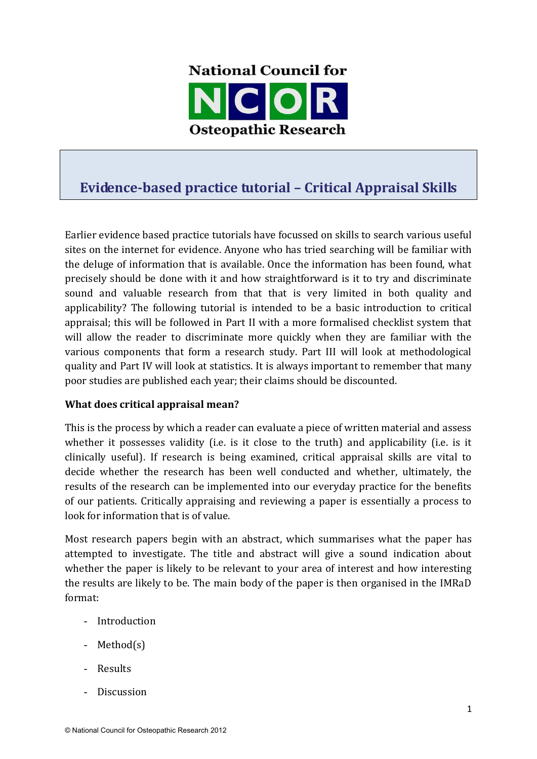

# **Evidence-based practice tutorial – Critical Appraisal Skills**

Earlier evidence based practice tutorials have focussed on skills to search various useful sites on the internet for evidence. Anyone who has tried searching will be familiar with the deluge of information that is available. Once the information has been found, what precisely should be done with it and how straightforward is it to try and discriminate sound and valuable research from that that is very limited in both quality and applicability? The following tutorial is intended to be a basic introduction to critical appraisal; this will be followed in Part II with a more formalised checklist system that will allow the reader to discriminate more quickly when they are familiar with the various components that form a research study. Part III will look at methodological quality and Part IV will look at statistics. It is always important to remember that many poor studies are published each year; their claims should be discounted.

#### **What does critical appraisal mean?**

This is the process by which a reader can evaluate a piece of written material and assess whether it possesses validity (i.e. is it close to the truth) and applicability (i.e. is it clinically useful). If research is being examined, critical appraisal skills are vital to decide whether the research has been well conducted and whether, ultimately, the results of the research can be implemented into our everyday practice for the benefits of our patients. Critically appraising and reviewing a paper is essentially a process to look for information that is of value.

Most research papers begin with an abstract, which summarises what the paper has attempted to investigate. The title and abstract will give a sound indication about whether the paper is likely to be relevant to your area of interest and how interesting the results are likely to be. The main body of the paper is then organised in the IMRaD format:

- Introduction
- Method(s)
- Results
- **Discussion**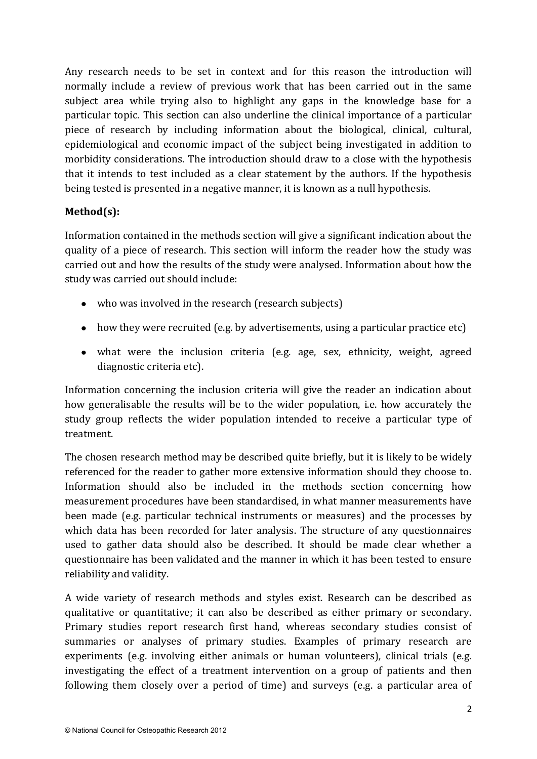Any research needs to be set in context and for this reason the introduction will normally include a review of previous work that has been carried out in the same subject area while trying also to highlight any gaps in the knowledge base for a particular topic. This section can also underline the clinical importance of a particular piece of research by including information about the biological, clinical, cultural, epidemiological and economic impact of the subject being investigated in addition to morbidity considerations. The introduction should draw to a close with the hypothesis that it intends to test included as a clear statement by the authors. If the hypothesis being tested is presented in a negative manner, it is known as a null hypothesis.

# **Method(s):**

Information contained in the methods section will give a significant indication about the quality of a piece of research. This section will inform the reader how the study was carried out and how the results of the study were analysed. Information about how the study was carried out should include:

- who was involved in the research (research subjects)
- how they were recruited (e.g. by advertisements, using a particular practice etc)
- what were the inclusion criteria (e.g. age, sex, ethnicity, weight, agreed diagnostic criteria etc).

Information concerning the inclusion criteria will give the reader an indication about how generalisable the results will be to the wider population, i.e. how accurately the study group reflects the wider population intended to receive a particular type of treatment.

The chosen research method may be described quite briefly, but it is likely to be widely referenced for the reader to gather more extensive information should they choose to. Information should also be included in the methods section concerning how measurement procedures have been standardised, in what manner measurements have been made (e.g. particular technical instruments or measures) and the processes by which data has been recorded for later analysis. The structure of any questionnaires used to gather data should also be described. It should be made clear whether a questionnaire has been validated and the manner in which it has been tested to ensure reliability and validity.

A wide variety of research methods and styles exist. Research can be described as qualitative or quantitative; it can also be described as either primary or secondary. Primary studies report research first hand, whereas secondary studies consist of summaries or analyses of primary studies. Examples of primary research are experiments (e.g. involving either animals or human volunteers), clinical trials (e.g. investigating the effect of a treatment intervention on a group of patients and then following them closely over a period of time) and surveys (e.g. a particular area of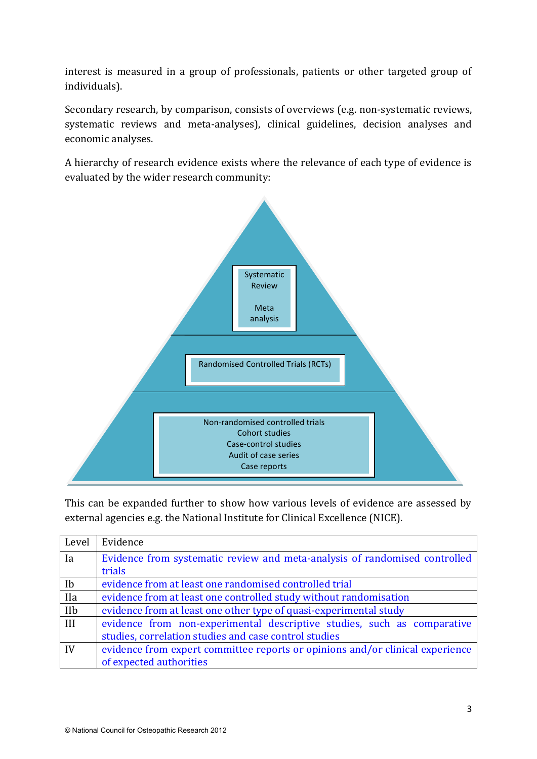interest is measured in a group of professionals, patients or other targeted group of individuals).

Secondary research, by comparison, consists of overviews (e.g. non-systematic reviews, systematic reviews and meta-analyses), clinical guidelines, decision analyses and economic analyses.

A hierarchy of research evidence exists where the relevance of each type of evidence is evaluated by the wider research community:



This can be expanded further to show how various levels of evidence are assessed by external agencies e.g. the National Institute for Clinical Excellence (NICE).

| Level      | Evidence                                                                      |
|------------|-------------------------------------------------------------------------------|
| Ia         | Evidence from systematic review and meta-analysis of randomised controlled    |
|            | trials                                                                        |
| Ib         | evidence from at least one randomised controlled trial                        |
| <b>IIa</b> | evidence from at least one controlled study without randomisation             |
| IIb        | evidence from at least one other type of quasi-experimental study             |
| III        | evidence from non-experimental descriptive studies, such as comparative       |
|            | studies, correlation studies and case control studies                         |
| IV         | evidence from expert committee reports or opinions and/or clinical experience |
|            | of expected authorities                                                       |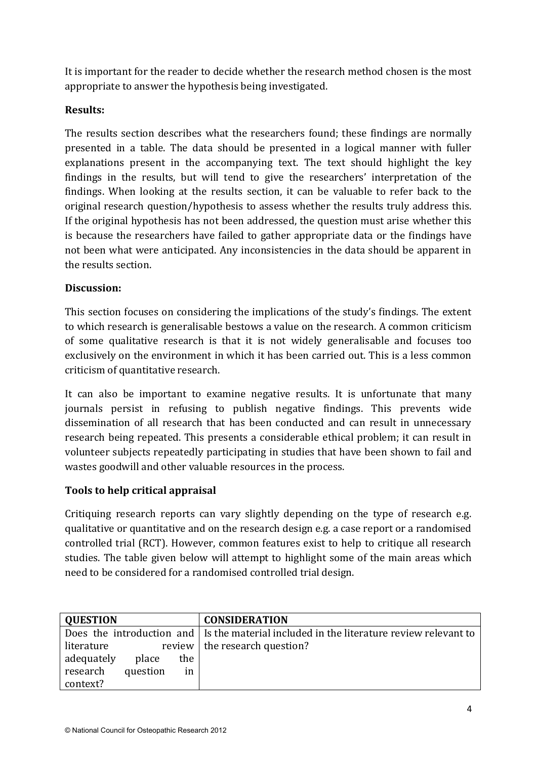It is important for the reader to decide whether the research method chosen is the most appropriate to answer the hypothesis being investigated.

# **Results:**

The results section describes what the researchers found; these findings are normally presented in a table. The data should be presented in a logical manner with fuller explanations present in the accompanying text. The text should highlight the key findings in the results, but will tend to give the researchers' interpretation of the findings. When looking at the results section, it can be valuable to refer back to the original research question/hypothesis to assess whether the results truly address this. If the original hypothesis has not been addressed, the question must arise whether this is because the researchers have failed to gather appropriate data or the findings have not been what were anticipated. Any inconsistencies in the data should be apparent in the results section.

# **Discussion:**

This section focuses on considering the implications of the study's findings. The extent to which research is generalisable bestows a value on the research. A common criticism of some qualitative research is that it is not widely generalisable and focuses too exclusively on the environment in which it has been carried out. This is a less common criticism of quantitative research.

It can also be important to examine negative results. It is unfortunate that many journals persist in refusing to publish negative findings. This prevents wide dissemination of all research that has been conducted and can result in unnecessary research being repeated. This presents a considerable ethical problem; it can result in volunteer subjects repeatedly participating in studies that have been shown to fail and wastes goodwill and other valuable resources in the process.

# **Tools to help critical appraisal**

Critiquing research reports can vary slightly depending on the type of research e.g. qualitative or quantitative and on the research design e.g. a case report or a randomised controlled trial (RCT). However, common features exist to help to critique all research studies. The table given below will attempt to highlight some of the main areas which need to be considered for a randomised controlled trial design.

| <b>QUESTION</b> |          |     | <b>CONSIDERATION</b>                                                                    |
|-----------------|----------|-----|-----------------------------------------------------------------------------------------|
|                 |          |     | Does the introduction and Is the material included in the literature review relevant to |
| literature      |          |     | review   the research question?                                                         |
| adequately      | place    | the |                                                                                         |
| research        | question | in  |                                                                                         |
| context?        |          |     |                                                                                         |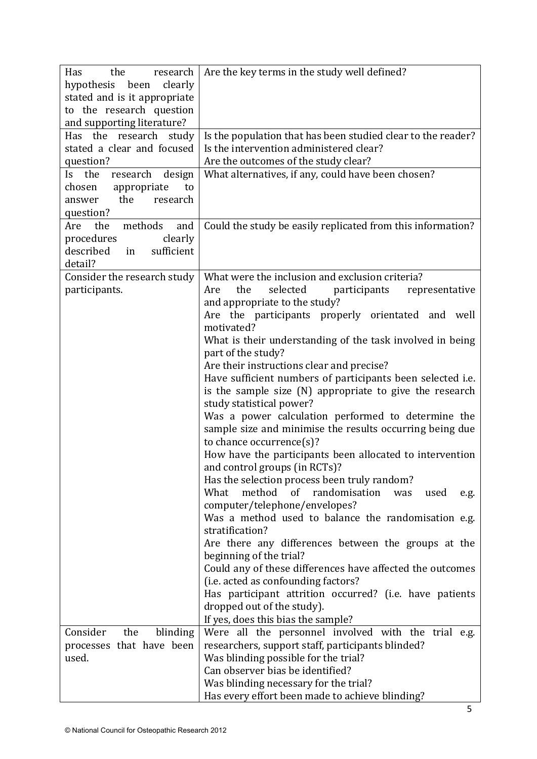| Has<br>the<br>research<br>hypothesis been<br>clearly<br>stated and is it appropriate<br>to the research question<br>and supporting literature? | Are the key terms in the study well defined?                                                                                                                                                                                                                                                                                                                                                                                                                                                                                                                                                                                                                                                                                                                                                                                                                                                                                                                                                                                                                                                                                                                                                                                                                                                        |
|------------------------------------------------------------------------------------------------------------------------------------------------|-----------------------------------------------------------------------------------------------------------------------------------------------------------------------------------------------------------------------------------------------------------------------------------------------------------------------------------------------------------------------------------------------------------------------------------------------------------------------------------------------------------------------------------------------------------------------------------------------------------------------------------------------------------------------------------------------------------------------------------------------------------------------------------------------------------------------------------------------------------------------------------------------------------------------------------------------------------------------------------------------------------------------------------------------------------------------------------------------------------------------------------------------------------------------------------------------------------------------------------------------------------------------------------------------------|
| Has the research study<br>stated a clear and focused<br>question?                                                                              | Is the population that has been studied clear to the reader?<br>Is the intervention administered clear?<br>Are the outcomes of the study clear?                                                                                                                                                                                                                                                                                                                                                                                                                                                                                                                                                                                                                                                                                                                                                                                                                                                                                                                                                                                                                                                                                                                                                     |
| Is the<br>research<br>design<br>chosen<br>appropriate<br>to<br>the<br>research<br>answer<br>question?                                          | What alternatives, if any, could have been chosen?                                                                                                                                                                                                                                                                                                                                                                                                                                                                                                                                                                                                                                                                                                                                                                                                                                                                                                                                                                                                                                                                                                                                                                                                                                                  |
| methods<br>and<br>the<br>Are<br>clearly<br>procedures<br>described<br>sufficient<br>in<br>detail?                                              | Could the study be easily replicated from this information?                                                                                                                                                                                                                                                                                                                                                                                                                                                                                                                                                                                                                                                                                                                                                                                                                                                                                                                                                                                                                                                                                                                                                                                                                                         |
| Consider the research study<br>participants.                                                                                                   | What were the inclusion and exclusion criteria?<br>selected<br>the<br>participants<br>representative<br>Are<br>and appropriate to the study?<br>Are the participants properly orientated and well<br>motivated?<br>What is their understanding of the task involved in being<br>part of the study?<br>Are their instructions clear and precise?<br>Have sufficient numbers of participants been selected i.e.<br>is the sample size (N) appropriate to give the research<br>study statistical power?<br>Was a power calculation performed to determine the<br>sample size and minimise the results occurring being due<br>to chance occurrence $(s)$ ?<br>How have the participants been allocated to intervention<br>and control groups (in RCTs)?<br>Has the selection process been truly random?<br>method<br>of<br>randomisation<br>What<br>was<br>used<br>e.g.<br>computer/telephone/envelopes?<br>Was a method used to balance the randomisation e.g.<br>stratification?<br>Are there any differences between the groups at the<br>beginning of the trial?<br>Could any of these differences have affected the outcomes<br>(i.e. acted as confounding factors?<br>Has participant attrition occurred? (i.e. have patients<br>dropped out of the study).<br>If yes, does this bias the sample? |
| Consider<br>the<br>blinding<br>processes that have been<br>used.                                                                               | Were all the personnel involved with the trial e.g.<br>researchers, support staff, participants blinded?<br>Was blinding possible for the trial?<br>Can observer bias be identified?<br>Was blinding necessary for the trial?<br>Has every effort been made to achieve blinding?                                                                                                                                                                                                                                                                                                                                                                                                                                                                                                                                                                                                                                                                                                                                                                                                                                                                                                                                                                                                                    |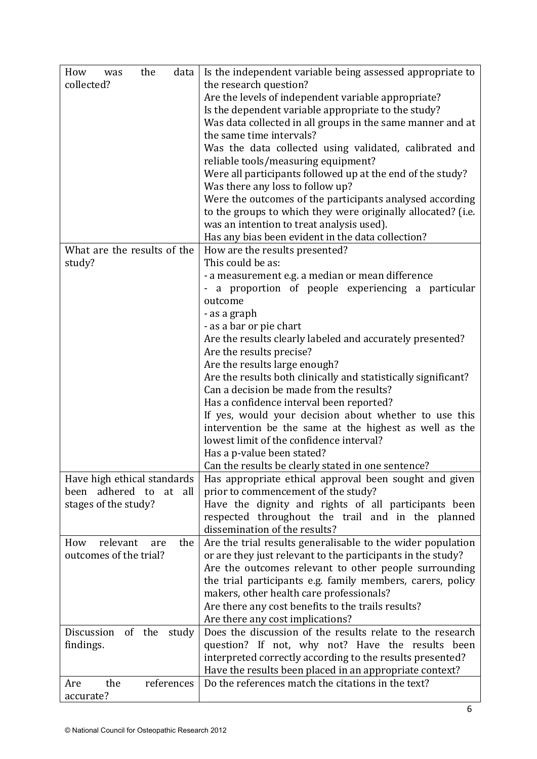| How<br>the<br>data<br>was<br>collected?                                                | Is the independent variable being assessed appropriate to<br>the research question?<br>Are the levels of independent variable appropriate?<br>Is the dependent variable appropriate to the study?<br>Was data collected in all groups in the same manner and at<br>the same time intervals?<br>Was the data collected using validated, calibrated and                                                                    |
|----------------------------------------------------------------------------------------|--------------------------------------------------------------------------------------------------------------------------------------------------------------------------------------------------------------------------------------------------------------------------------------------------------------------------------------------------------------------------------------------------------------------------|
|                                                                                        | reliable tools/measuring equipment?<br>Were all participants followed up at the end of the study?<br>Was there any loss to follow up?                                                                                                                                                                                                                                                                                    |
|                                                                                        | Were the outcomes of the participants analysed according<br>to the groups to which they were originally allocated? (i.e.<br>was an intention to treat analysis used).<br>Has any bias been evident in the data collection?                                                                                                                                                                                               |
| What are the results of the<br>study?                                                  | How are the results presented?<br>This could be as:                                                                                                                                                                                                                                                                                                                                                                      |
|                                                                                        | - a measurement e.g. a median or mean difference<br>- a proportion of people experiencing a particular<br>outcome                                                                                                                                                                                                                                                                                                        |
|                                                                                        | - as a graph<br>- as a bar or pie chart<br>Are the results clearly labeled and accurately presented?                                                                                                                                                                                                                                                                                                                     |
|                                                                                        | Are the results precise?<br>Are the results large enough?<br>Are the results both clinically and statistically significant?<br>Can a decision be made from the results?                                                                                                                                                                                                                                                  |
|                                                                                        | Has a confidence interval been reported?<br>If yes, would your decision about whether to use this<br>intervention be the same at the highest as well as the<br>lowest limit of the confidence interval?<br>Has a p-value been stated?                                                                                                                                                                                    |
| Have high ethical standards<br>adhered to<br>been<br>at<br>all<br>stages of the study? | Can the results be clearly stated in one sentence?<br>Has appropriate ethical approval been sought and given<br>prior to commencement of the study?<br>Have the dignity and rights of all participants been<br>respected throughout the trail and in the planned                                                                                                                                                         |
| relevant<br>How<br>the<br>are<br>outcomes of the trial?                                | dissemination of the results?<br>Are the trial results generalisable to the wider population<br>or are they just relevant to the participants in the study?<br>Are the outcomes relevant to other people surrounding<br>the trial participants e.g. family members, carers, policy<br>makers, other health care professionals?<br>Are there any cost benefits to the trails results?<br>Are there any cost implications? |
| Discussion<br>of the<br>study<br>findings.                                             | Does the discussion of the results relate to the research<br>question? If not, why not? Have the results been<br>interpreted correctly according to the results presented?<br>Have the results been placed in an appropriate context?                                                                                                                                                                                    |
| the<br>references<br>Are<br>accurate?                                                  | Do the references match the citations in the text?                                                                                                                                                                                                                                                                                                                                                                       |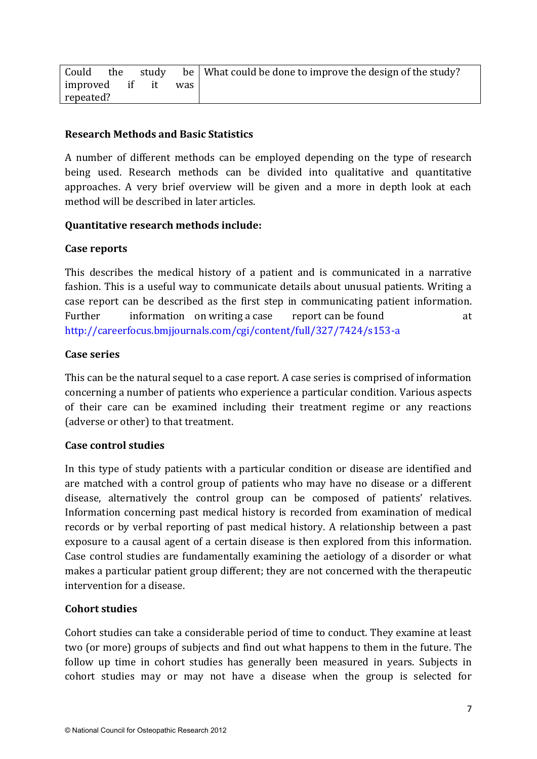| Could          |  |      | the study be   What could be done to improve the design of the study? |
|----------------|--|------|-----------------------------------------------------------------------|
| improved if it |  | was. |                                                                       |
| repeated?      |  |      |                                                                       |

#### **Research Methods and Basic Statistics**

A number of different methods can be employed depending on the type of research being used. Research methods can be divided into qualitative and quantitative approaches. A very brief overview will be given and a more in depth look at each method will be described in later articles.

#### **Quantitative research methods include:**

#### **Case reports**

This describes the medical history of a patient and is communicated in a narrative fashion. This is a useful way to communicate details about unusual patients. Writing a case report can be described as the first step in communicating patient information. Further information on writing a case report can be found at at http://careerfocus.bmjjournals.com/cgi/content/full/327/7424/s153-a

#### **Case series**

This can be the natural sequel to a case report. A case series is comprised of information concerning a number of patients who experience a particular condition. Various aspects of their care can be examined including their treatment regime or any reactions (adverse or other) to that treatment.

#### **Case control studies**

In this type of study patients with a particular condition or disease are identified and are matched with a control group of patients who may have no disease or a different disease, alternatively the control group can be composed of patients' relatives. Information concerning past medical history is recorded from examination of medical records or by verbal reporting of past medical history. A relationship between a past exposure to a causal agent of a certain disease is then explored from this information. Case control studies are fundamentally examining the aetiology of a disorder or what makes a particular patient group different; they are not concerned with the therapeutic intervention for a disease.

#### **Cohort studies**

Cohort studies can take a considerable period of time to conduct. They examine at least two (or more) groups of subjects and find out what happens to them in the future. The follow up time in cohort studies has generally been measured in years. Subjects in cohort studies may or may not have a disease when the group is selected for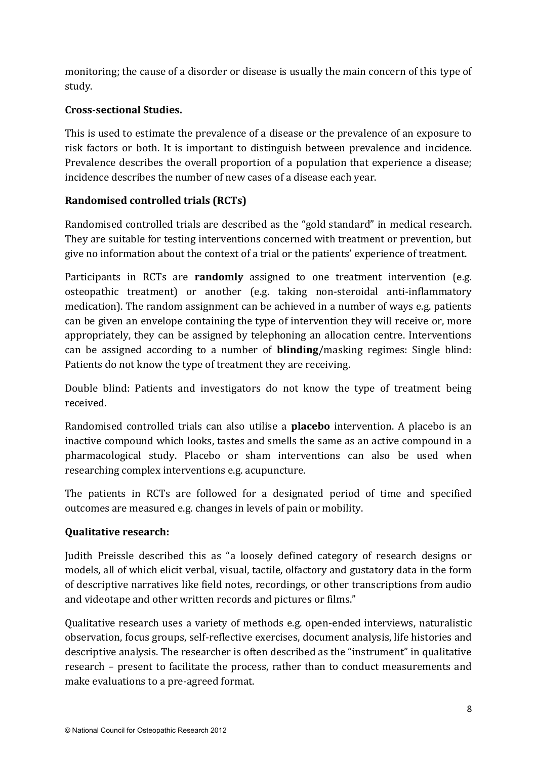monitoring; the cause of a disorder or disease is usually the main concern of this type of study.

# **Cross-sectional Studies.**

This is used to estimate the prevalence of a disease or the prevalence of an exposure to risk factors or both. It is important to distinguish between prevalence and incidence. Prevalence describes the overall proportion of a population that experience a disease; incidence describes the number of new cases of a disease each year.

# **Randomised controlled trials (RCTs)**

Randomised controlled trials are described as the "gold standard" in medical research. They are suitable for testing interventions concerned with treatment or prevention, but give no information about the context of a trial or the patients' experience of treatment.

Participants in RCTs are **randomly** assigned to one treatment intervention (e.g. osteopathic treatment) or another (e.g. taking non-steroidal anti-inflammatory medication). The random assignment can be achieved in a number of ways e.g. patients can be given an envelope containing the type of intervention they will receive or, more appropriately, they can be assigned by telephoning an allocation centre. Interventions can be assigned according to a number of **blinding**/masking regimes: Single blind: Patients do not know the type of treatment they are receiving.

Double blind: Patients and investigators do not know the type of treatment being received.

Randomised controlled trials can also utilise a **placebo** intervention. A placebo is an inactive compound which looks, tastes and smells the same as an active compound in a pharmacological study. Placebo or sham interventions can also be used when researching complex interventions e.g. acupuncture.

The patients in RCTs are followed for a designated period of time and specified outcomes are measured e.g. changes in levels of pain or mobility.

# **Qualitative research:**

Judith Preissle described this as "a loosely defined category of research designs or models, all of which elicit verbal, visual, tactile, olfactory and gustatory data in the form of descriptive narratives like field notes, recordings, or other transcriptions from audio and videotape and other written records and pictures or films."

Qualitative research uses a variety of methods e.g. open-ended interviews, naturalistic observation, focus groups, self-reflective exercises, document analysis, life histories and descriptive analysis. The researcher is often described as the "instrument" in qualitative research – present to facilitate the process, rather than to conduct measurements and make evaluations to a pre-agreed format.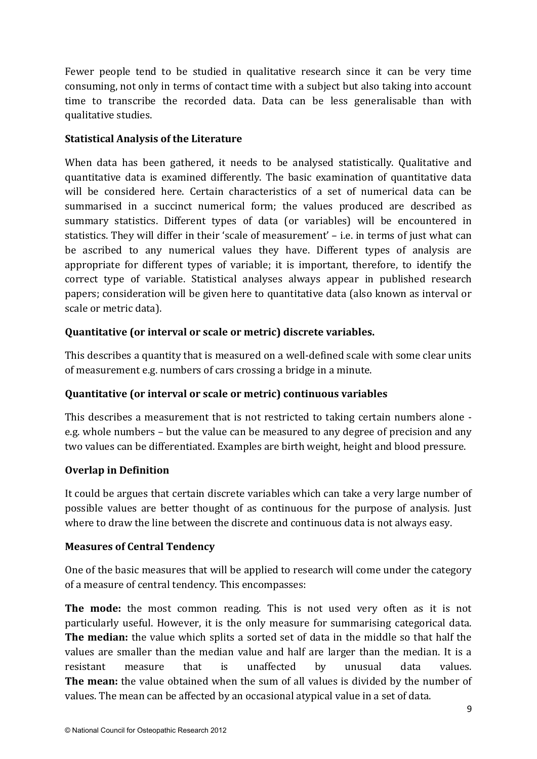Fewer people tend to be studied in qualitative research since it can be very time consuming, not only in terms of contact time with a subject but also taking into account time to transcribe the recorded data. Data can be less generalisable than with qualitative studies.

#### **Statistical Analysis of the Literature**

When data has been gathered, it needs to be analysed statistically. Qualitative and quantitative data is examined differently. The basic examination of quantitative data will be considered here. Certain characteristics of a set of numerical data can be summarised in a succinct numerical form; the values produced are described as summary statistics. Different types of data (or variables) will be encountered in statistics. They will differ in their 'scale of measurement' – i.e. in terms of just what can be ascribed to any numerical values they have. Different types of analysis are appropriate for different types of variable; it is important, therefore, to identify the correct type of variable. Statistical analyses always appear in published research papers; consideration will be given here to quantitative data (also known as interval or scale or metric data).

# **Quantitative (or interval or scale or metric) discrete variables.**

This describes a quantity that is measured on a well-defined scale with some clear units of measurement e.g. numbers of cars crossing a bridge in a minute.

# **Quantitative (or interval or scale or metric) continuous variables**

This describes a measurement that is not restricted to taking certain numbers alone e.g. whole numbers – but the value can be measured to any degree of precision and any two values can be differentiated. Examples are birth weight, height and blood pressure.

#### **Overlap in Definition**

It could be argues that certain discrete variables which can take a very large number of possible values are better thought of as continuous for the purpose of analysis. Just where to draw the line between the discrete and continuous data is not always easy.

#### **Measures of Central Tendency**

One of the basic measures that will be applied to research will come under the category of a measure of central tendency. This encompasses:

**The mode:** the most common reading. This is not used very often as it is not particularly useful. However, it is the only measure for summarising categorical data. **The median:** the value which splits a sorted set of data in the middle so that half the values are smaller than the median value and half are larger than the median. It is a resistant measure that is unaffected by unusual data values. **The mean:** the value obtained when the sum of all values is divided by the number of values. The mean can be affected by an occasional atypical value in a set of data.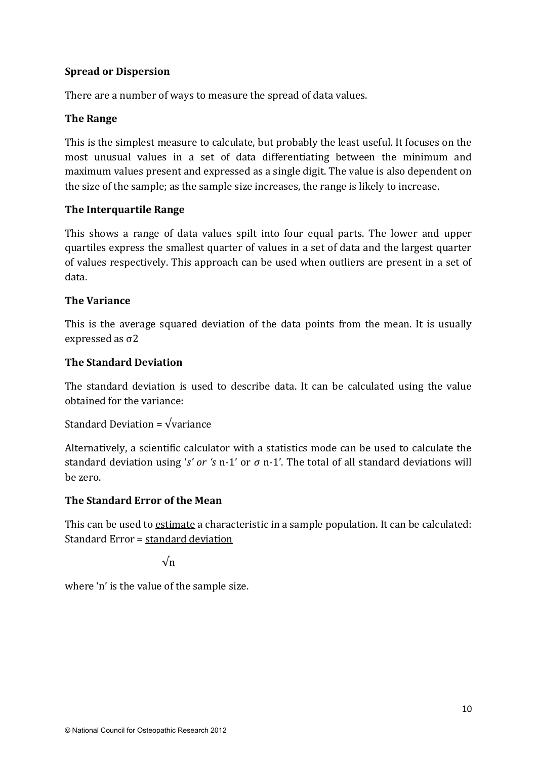### **Spread or Dispersion**

There are a number of ways to measure the spread of data values.

### **The Range**

This is the simplest measure to calculate, but probably the least useful. It focuses on the most unusual values in a set of data differentiating between the minimum and maximum values present and expressed as a single digit. The value is also dependent on the size of the sample; as the sample size increases, the range is likely to increase.

#### **The Interquartile Range**

This shows a range of data values spilt into four equal parts. The lower and upper quartiles express the smallest quarter of values in a set of data and the largest quarter of values respectively. This approach can be used when outliers are present in a set of data.

#### **The Variance**

This is the average squared deviation of the data points from the mean. It is usually expressed as σ2

#### **The Standard Deviation**

The standard deviation is used to describe data. It can be calculated using the value obtained for the variance:

Standard Deviation =  $\sqrt{\text{variance}}$ 

Alternatively, a scientific calculator with a statistics mode can be used to calculate the standard deviation using '*s' or 's* n-1' or *σ* n-1'. The total of all standard deviations will be zero.

#### **The Standard Error of the Mean**

This can be used to estimate a characteristic in a sample population. It can be calculated: Standard Error = standard deviation

√n

where 'n' is the value of the sample size.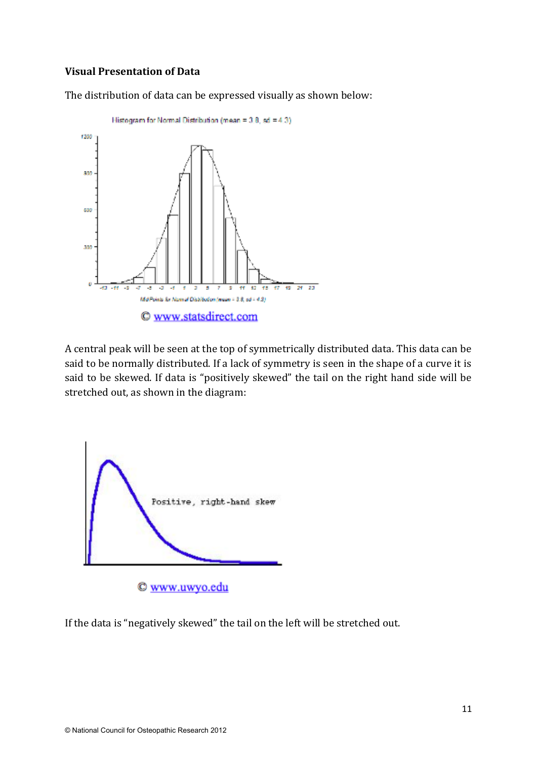#### **Visual Presentation of Data**

The distribution of data can be expressed visually as shown below:



A central peak will be seen at the top of symmetrically distributed data. This data can be said to be normally distributed. If a lack of symmetry is seen in the shape of a curve it is said to be skewed. If data is "positively skewed" the tail on the right hand side will be stretched out, as shown in the diagram:



If the data is "negatively skewed" the tail on the left will be stretched out.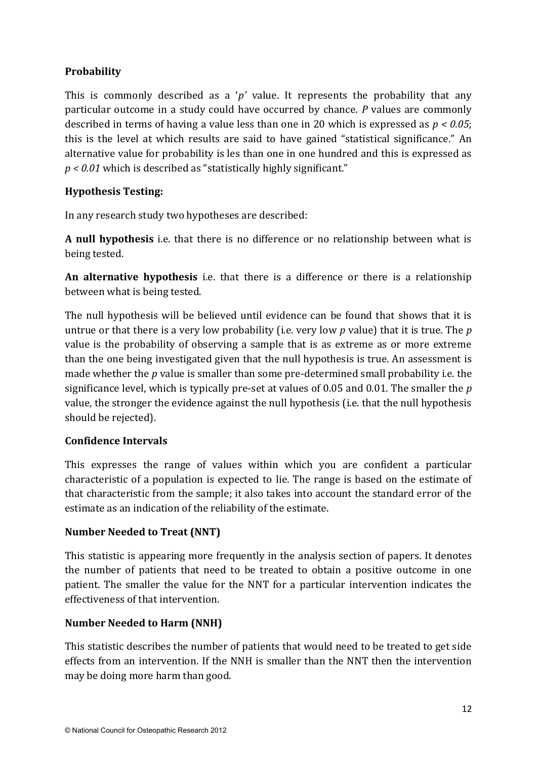# **Probability**

This is commonly described as a '*p'* value. It represents the probability that any particular outcome in a study could have occurred by chance. *P* values are commonly described in terms of having a value less than one in 20 which is expressed as *p < 0.05*; this is the level at which results are said to have gained "statistical significance." An alternative value for probability is les than one in one hundred and this is expressed as *p < 0.01* which is described as "statistically highly significant."

# **Hypothesis Testing:**

In any research study two hypotheses are described:

**A null hypothesis** i.e. that there is no difference or no relationship between what is being tested.

**An alternative hypothesis** i.e. that there is a difference or there is a relationship between what is being tested.

The null hypothesis will be believed until evidence can be found that shows that it is untrue or that there is a very low probability (i.e. very low *p* value) that it is true. The *p*  value is the probability of observing a sample that is as extreme as or more extreme than the one being investigated given that the null hypothesis is true. An assessment is made whether the *p* value is smaller than some pre-determined small probability i.e. the significance level, which is typically pre-set at values of 0.05 and 0.01. The smaller the *p*  value, the stronger the evidence against the null hypothesis (i.e. that the null hypothesis should be rejected).

# **Confidence Intervals**

This expresses the range of values within which you are confident a particular characteristic of a population is expected to lie. The range is based on the estimate of that characteristic from the sample; it also takes into account the standard error of the estimate as an indication of the reliability of the estimate.

# **Number Needed to Treat (NNT)**

This statistic is appearing more frequently in the analysis section of papers. It denotes the number of patients that need to be treated to obtain a positive outcome in one patient. The smaller the value for the NNT for a particular intervention indicates the effectiveness of that intervention.

# **Number Needed to Harm (NNH)**

This statistic describes the number of patients that would need to be treated to get side effects from an intervention. If the NNH is smaller than the NNT then the intervention may be doing more harm than good.